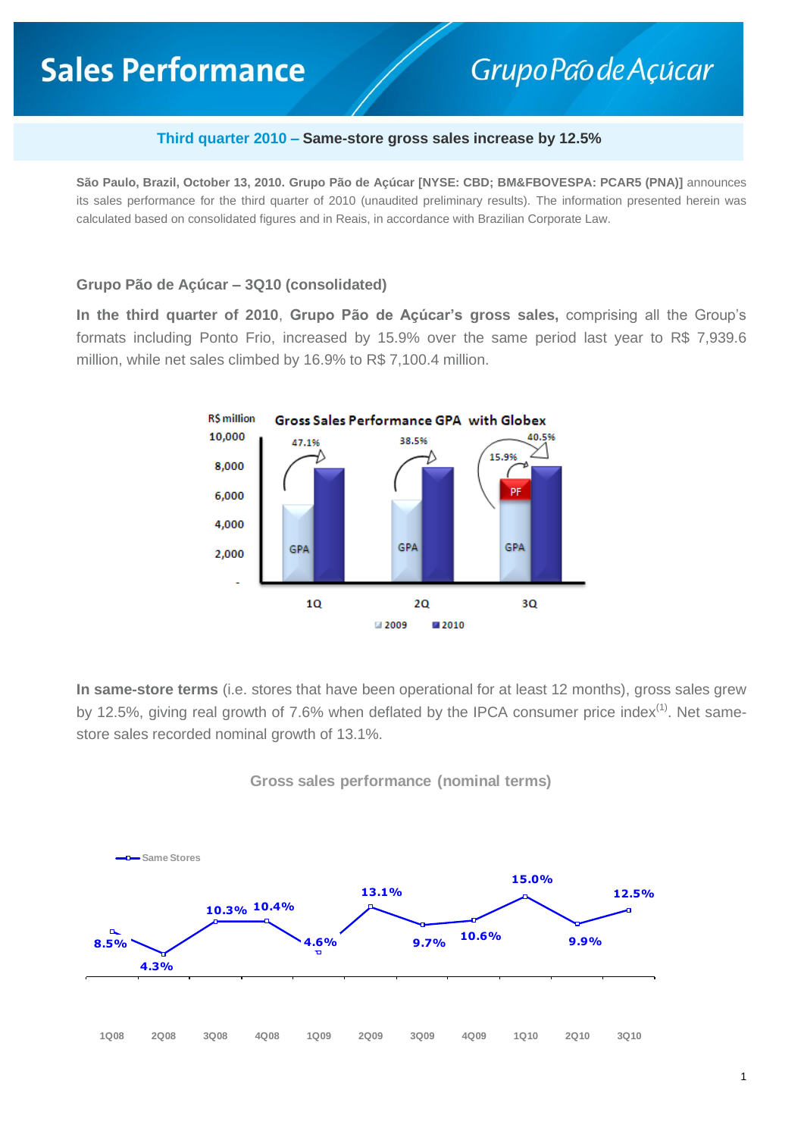# **Sales Performance**

## Grupo Pao de Açúcar

#### **Third quarter 2010 – Same-store gross sales increase by 12.5%**

**São Paulo, Brazil, October 13, 2010. Grupo Pão de Açúcar [NYSE: CBD; BM&FBOVESPA: PCAR5 (PNA)]** announces its sales performance for the third quarter of 2010 (unaudited preliminary results). The information presented herein was calculated based on consolidated figures and in Reais, in accordance with Brazilian Corporate Law.

#### **Grupo Pão de Açúcar – 3Q10 (consolidated)**

**In the third quarter of 2010**, **Grupo Pão de Açúcar's gross sales,** comprising all the Group's formats including Ponto Frio, increased by 15.9% over the same period last year to R\$ 7,939.6 million, while net sales climbed by 16.9% to R\$ 7,100.4 million.



**In same-store terms** (i.e. stores that have been operational for at least 12 months), gross sales grew by 12.5%, giving real growth of 7.6% when deflated by the IPCA consumer price index<sup>(1)</sup>. Net samestore sales recorded nominal growth of 13.1%.



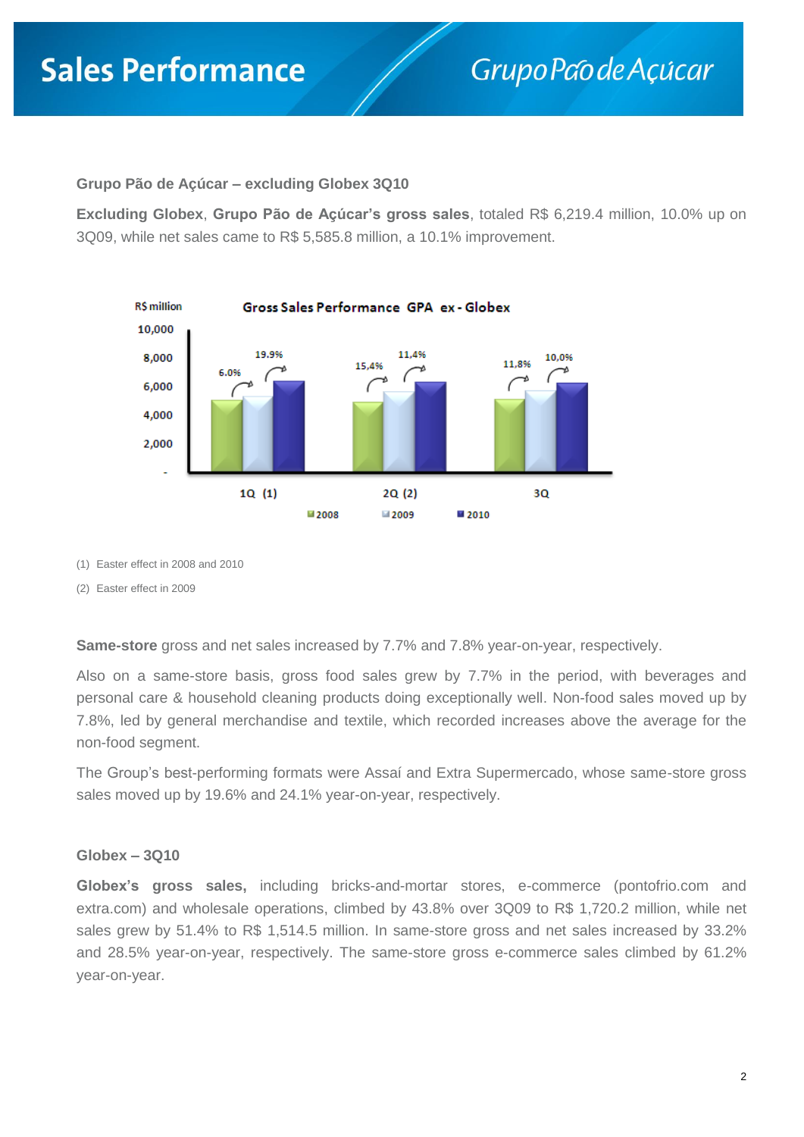### **Grupo Pão de Açúcar – excluding Globex 3Q10**

**Excluding Globex**, **Grupo Pão de Açúcar's gross sales**, totaled R\$ 6,219.4 million, 10.0% up on 3Q09, while net sales came to R\$ 5,585.8 million, a 10.1% improvement.



(1) Easter effect in 2008 and 2010

(2) Easter effect in 2009

**Same-store** gross and net sales increased by 7.7% and 7.8% year-on-year, respectively.

Also on a same-store basis, gross food sales grew by 7.7% in the period, with beverages and personal care & household cleaning products doing exceptionally well. Non-food sales moved up by 7.8%, led by general merchandise and textile, which recorded increases above the average for the non-food segment.

The Group's best-performing formats were Assaí and Extra Supermercado, whose same-store gross sales moved up by 19.6% and 24.1% year-on-year, respectively.

### **Globex – 3Q10**

**Globex's gross sales,** including bricks-and-mortar stores, e-commerce (pontofrio.com and extra.com) and wholesale operations, climbed by 43.8% over 3Q09 to R\$ 1,720.2 million, while net sales grew by 51.4% to R\$ 1,514.5 million. In same-store gross and net sales increased by 33.2% and 28.5% year-on-year, respectively. The same-store gross e-commerce sales climbed by 61.2% year-on-year.